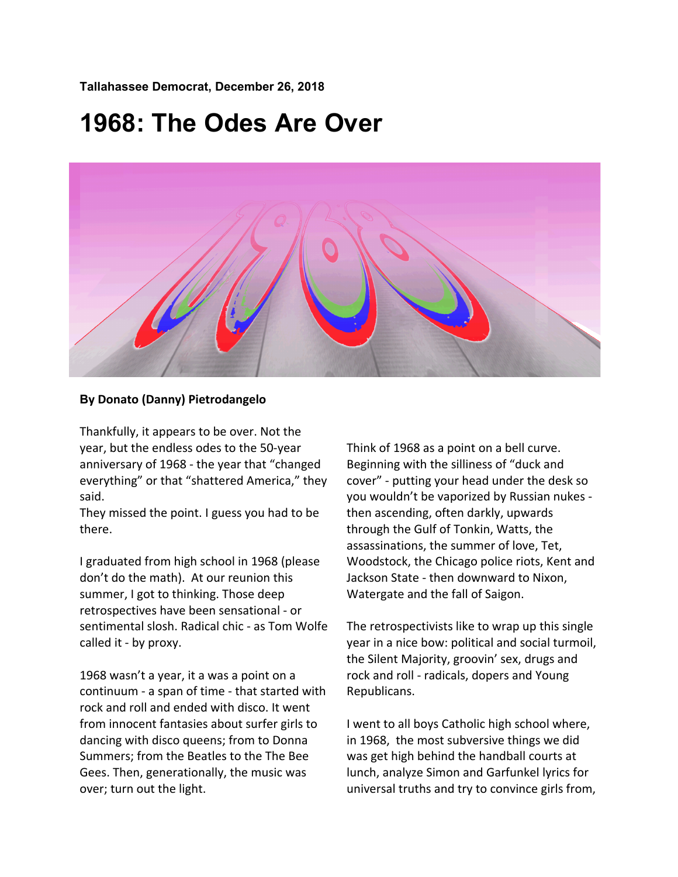**Tallahassee Democrat, December 26, 2018**

## **1968: The Odes Are Over**



## **By Donato (Danny) Pietrodangelo**

Thankfully, it appears to be over. Not the year, but the endless odes to the 50-year anniversary of 1968 - the year that "changed everything" or that "shattered America," they said.

They missed the point. I guess you had to be there.

I graduated from high school in 1968 (please don't do the math). At our reunion this summer, I got to thinking. Those deep retrospectives have been sensational - or sentimental slosh. Radical chic - as Tom Wolfe called it - by proxy.

1968 wasn't a year, it a was a point on a continuum - a span of time - that started with rock and roll and ended with disco. It went from innocent fantasies about surfer girls to dancing with disco queens; from to Donna Summers; from the Beatles to the The Bee Gees. Then, generationally, the music was over; turn out the light.

Think of 1968 as a point on a bell curve. Beginning with the silliness of "duck and cover" - putting your head under the desk so you wouldn't be vaporized by Russian nukes then ascending, often darkly, upwards through the Gulf of Tonkin, Watts, the assassinations, the summer of love, Tet, Woodstock, the Chicago police riots, Kent and Jackson State - then downward to Nixon, Watergate and the fall of Saigon.

The retrospectivists like to wrap up this single year in a nice bow: political and social turmoil, the Silent Majority, groovin' sex, drugs and rock and roll - radicals, dopers and Young Republicans.

I went to all boys Catholic high school where, in 1968, the most subversive things we did was get high behind the handball courts at lunch, analyze Simon and Garfunkel lyrics for universal truths and try to convince girls from,